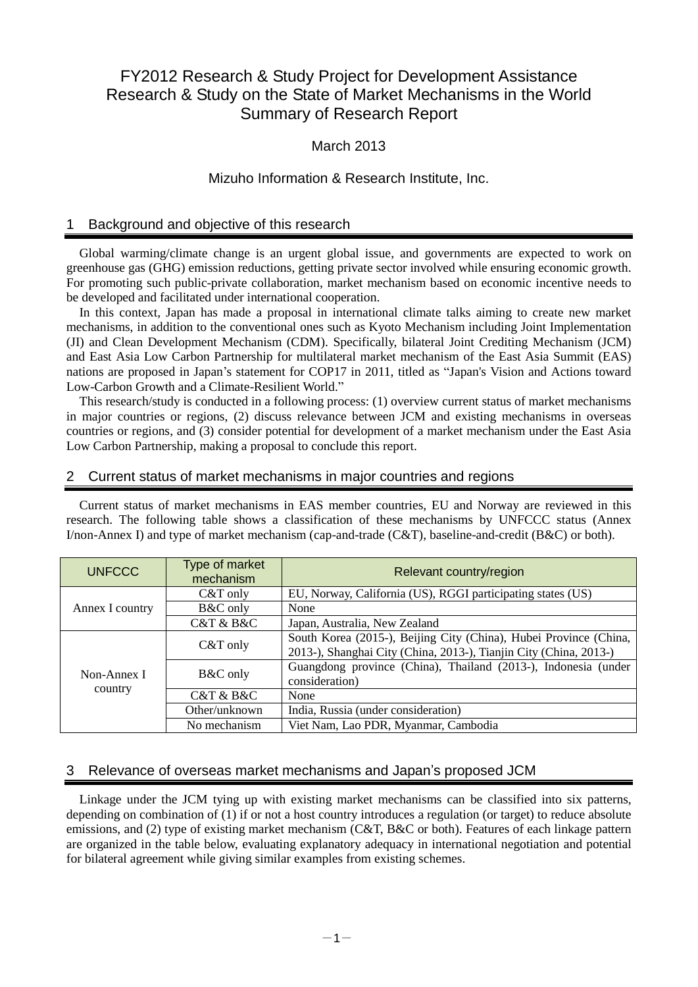# FY2012 Research & Study Project for Development Assistance Research & Study on the State of Market Mechanisms in the World Summary of Research Report

# March 2013

## Mizuho Information & Research Institute, Inc.

### 1 Background and objective of this research

Global warming/climate change is an urgent global issue, and governments are expected to work on greenhouse gas (GHG) emission reductions, getting private sector involved while ensuring economic growth. For promoting such public-private collaboration, market mechanism based on economic incentive needs to be developed and facilitated under international cooperation.

In this context, Japan has made a proposal in international climate talks aiming to create new market mechanisms, in addition to the conventional ones such as Kyoto Mechanism including Joint Implementation (JI) and Clean Development Mechanism (CDM). Specifically, bilateral Joint Crediting Mechanism (JCM) and East Asia Low Carbon Partnership for multilateral market mechanism of the East Asia Summit (EAS) nations are proposed in Japan's statement for COP17 in 2011, titled as "Japan's Vision and Actions toward Low-Carbon Growth and a Climate-Resilient World."

This research/study is conducted in a following process: (1) overview current status of market mechanisms in major countries or regions, (2) discuss relevance between JCM and existing mechanisms in overseas countries or regions, and (3) consider potential for development of a market mechanism under the East Asia Low Carbon Partnership, making a proposal to conclude this report.

### 2 Current status of market mechanisms in major countries and regions

Current status of market mechanisms in EAS member countries, EU and Norway are reviewed in this research. The following table shows a classification of these mechanisms by UNFCCC status (Annex I/non-Annex I) and type of market mechanism (cap-and-trade (C&T), baseline-and-credit (B&C) or both).

| <b>UNFCCC</b>          | Type of market<br>mechanism | Relevant country/region                                                                                                                |  |
|------------------------|-----------------------------|----------------------------------------------------------------------------------------------------------------------------------------|--|
| Annex I country        | $C&T$ only                  | EU, Norway, California (US), RGGI participating states (US)                                                                            |  |
|                        | B&C only                    | None                                                                                                                                   |  |
|                        | C&T & B&C                   | Japan, Australia, New Zealand                                                                                                          |  |
| Non-Annex I<br>country | $C&T$ only                  | South Korea (2015-), Beijing City (China), Hubei Province (China,<br>2013-), Shanghai City (China, 2013-), Tianjin City (China, 2013-) |  |
|                        | <b>B&amp;C</b> only         | Guangdong province (China), Thailand (2013-), Indonesia (under<br>consideration)                                                       |  |
|                        | C&T & B&C                   | None                                                                                                                                   |  |
|                        | Other/unknown               | India, Russia (under consideration)                                                                                                    |  |
|                        | No mechanism                | Viet Nam, Lao PDR, Myanmar, Cambodia                                                                                                   |  |

### 3 Relevance of overseas market mechanisms and Japan's proposed JCM

Linkage under the JCM tying up with existing market mechanisms can be classified into six patterns, depending on combination of (1) if or not a host country introduces a regulation (or target) to reduce absolute emissions, and (2) type of existing market mechanism (C&T, B&C or both). Features of each linkage pattern are organized in the table below, evaluating explanatory adequacy in international negotiation and potential for bilateral agreement while giving similar examples from existing schemes.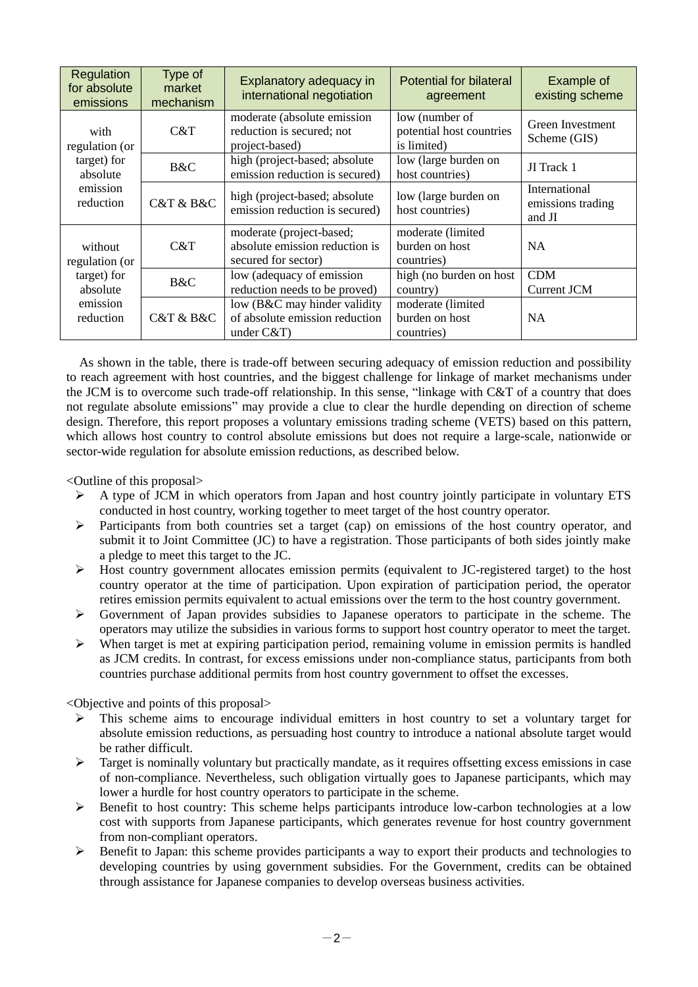| Regulation<br>for absolute<br>emissions                                       | Type of<br>market<br>mechanism | Explanatory adequacy in<br>international negotiation                              | <b>Potential for bilateral</b><br>agreement               | Example of<br>existing scheme                |
|-------------------------------------------------------------------------------|--------------------------------|-----------------------------------------------------------------------------------|-----------------------------------------------------------|----------------------------------------------|
| with<br>regulation (or<br>target) for<br>absolute<br>emission<br>reduction    | C&T                            | moderate (absolute emission<br>reduction is secured; not<br>project-based)        | low (number of<br>potential host countries<br>is limited) | Green Investment<br>Scheme (GIS)             |
|                                                                               | B&C                            | high (project-based; absolute<br>emission reduction is secured)                   | low (large burden on<br>host countries)                   | JI Track 1                                   |
|                                                                               | C&T & B&C                      | high (project-based; absolute<br>emission reduction is secured)                   | low (large burden on<br>host countries)                   | International<br>emissions trading<br>and JI |
| without<br>regulation (or<br>target) for<br>absolute<br>emission<br>reduction | C&T                            | moderate (project-based;<br>absolute emission reduction is<br>secured for sector) | moderate (limited<br>burden on host<br>countries)         | <b>NA</b>                                    |
|                                                                               | B&C                            | low (adequacy of emission<br>reduction needs to be proved)                        | high (no burden on host<br>country)                       | <b>CDM</b><br>Current JCM                    |
|                                                                               | C&T & B&C                      | low (B&C may hinder validity<br>of absolute emission reduction<br>under $C&T$ )   | moderate (limited<br>burden on host<br>countries)         | <b>NA</b>                                    |

As shown in the table, there is trade-off between securing adequacy of emission reduction and possibility to reach agreement with host countries, and the biggest challenge for linkage of market mechanisms under the JCM is to overcome such trade-off relationship. In this sense, "linkage with C&T of a country that does not regulate absolute emissions" may provide a clue to clear the hurdle depending on direction of scheme design. Therefore, this report proposes a voluntary emissions trading scheme (VETS) based on this pattern, which allows host country to control absolute emissions but does not require a large-scale, nationwide or sector-wide regulation for absolute emission reductions, as described below.

<Outline of this proposal>

- $\triangleright$  A type of JCM in which operators from Japan and host country jointly participate in voluntary ETS conducted in host country, working together to meet target of the host country operator.
- $\triangleright$  Participants from both countries set a target (cap) on emissions of the host country operator, and submit it to Joint Committee (JC) to have a registration. Those participants of both sides jointly make a pledge to meet this target to the JC.
- $\triangleright$  Host country government allocates emission permits (equivalent to JC-registered target) to the host country operator at the time of participation. Upon expiration of participation period, the operator retires emission permits equivalent to actual emissions over the term to the host country government.
- Government of Japan provides subsidies to Japanese operators to participate in the scheme. The operators may utilize the subsidies in various forms to support host country operator to meet the target.
- $\triangleright$  When target is met at expiring participation period, remaining volume in emission permits is handled as JCM credits. In contrast, for excess emissions under non-compliance status, participants from both countries purchase additional permits from host country government to offset the excesses.

<Objective and points of this proposal>

- $\triangleright$  This scheme aims to encourage individual emitters in host country to set a voluntary target for absolute emission reductions, as persuading host country to introduce a national absolute target would be rather difficult.
- $\triangleright$  Target is nominally voluntary but practically mandate, as it requires offsetting excess emissions in case of non-compliance. Nevertheless, such obligation virtually goes to Japanese participants, which may lower a hurdle for host country operators to participate in the scheme.
- $\triangleright$  Benefit to host country: This scheme helps participants introduce low-carbon technologies at a low cost with supports from Japanese participants, which generates revenue for host country government from non-compliant operators.
- Benefit to Japan: this scheme provides participants a way to export their products and technologies to developing countries by using government subsidies. For the Government, credits can be obtained through assistance for Japanese companies to develop overseas business activities.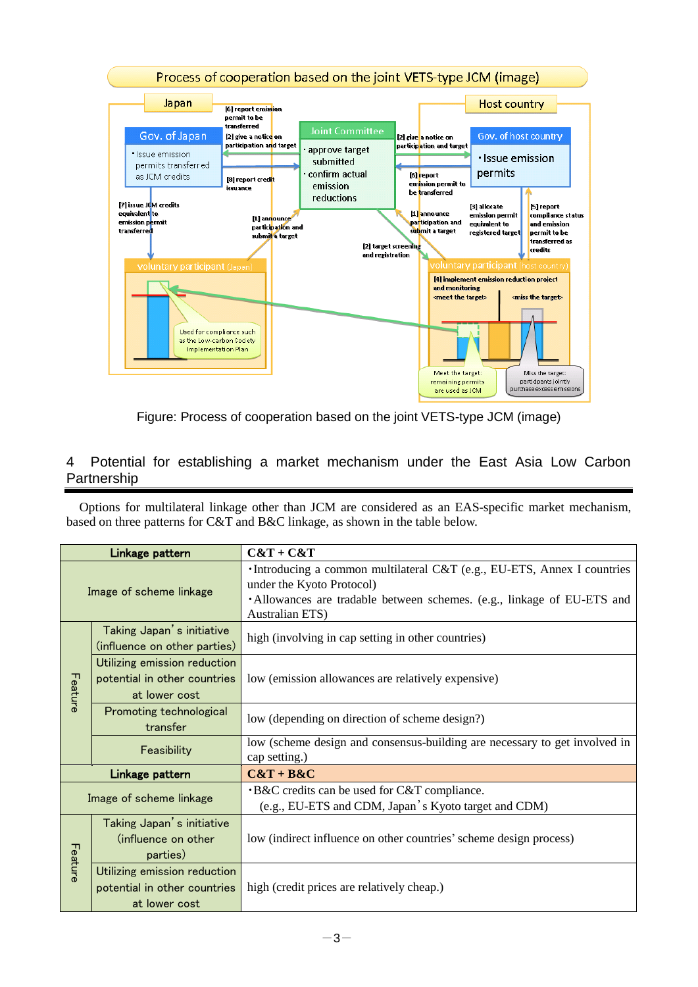



# 4 Potential for establishing a market mechanism under the East Asia Low Carbon Partnership

Options for multilateral linkage other than JCM are considered as an EAS-specific market mechanism, based on three patterns for C&T and B&C linkage, as shown in the table below.

| Linkage pattern         |                                                                               | $C&T+C&T$                                                                                                                                                                                                |  |
|-------------------------|-------------------------------------------------------------------------------|----------------------------------------------------------------------------------------------------------------------------------------------------------------------------------------------------------|--|
| Image of scheme linkage |                                                                               | ·Introducing a common multilateral C&T (e.g., EU-ETS, Annex I countries<br>under the Kyoto Protocol)<br>·Allowances are tradable between schemes. (e.g., linkage of EU-ETS and<br><b>Australian ETS)</b> |  |
| Feature                 | Taking Japan's initiative<br>(influence on other parties)                     | high (involving in cap setting in other countries)                                                                                                                                                       |  |
|                         | Utilizing emission reduction<br>potential in other countries<br>at lower cost | low (emission allowances are relatively expensive)                                                                                                                                                       |  |
|                         | Promoting technological<br>transfer                                           | low (depending on direction of scheme design?)                                                                                                                                                           |  |
|                         | Feasibility                                                                   | low (scheme design and consensus-building are necessary to get involved in<br>cap setting.)                                                                                                              |  |
| Linkage pattern         |                                                                               | $C&T+B&C$                                                                                                                                                                                                |  |
| Image of scheme linkage |                                                                               | <b>B&amp;C</b> credits can be used for C&T compliance.<br>(e.g., EU-ETS and CDM, Japan's Kyoto target and CDM)                                                                                           |  |
| Feature                 | Taking Japan's initiative<br>(influence on other<br>parties)                  | low (indirect influence on other countries' scheme design process)                                                                                                                                       |  |
|                         | Utilizing emission reduction<br>potential in other countries<br>at lower cost | high (credit prices are relatively cheap.)                                                                                                                                                               |  |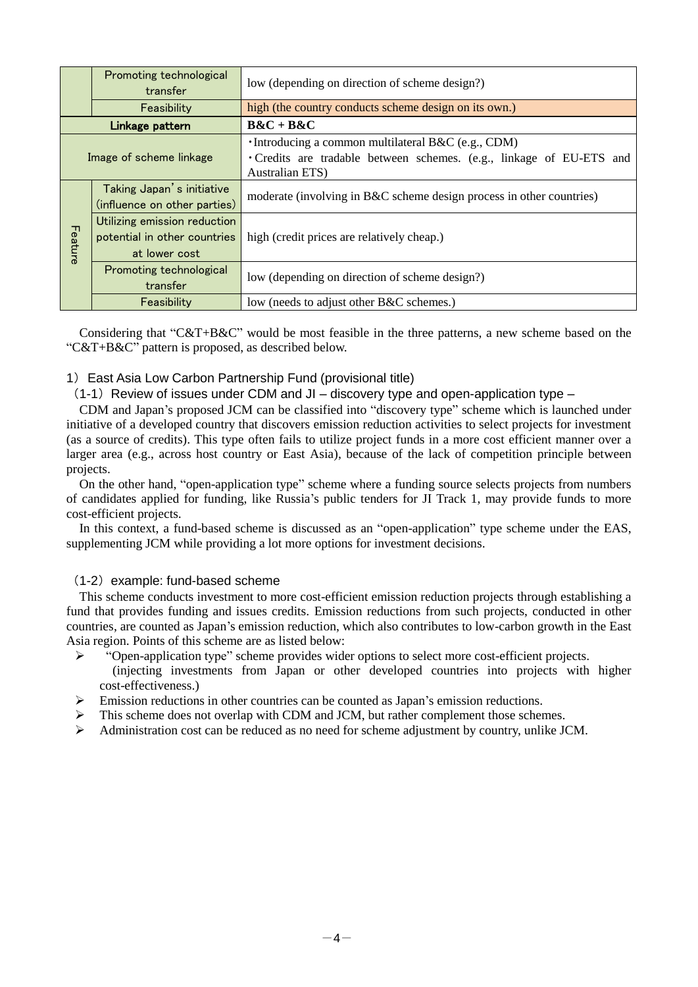|                         | Promoting technological<br>transfer | low (depending on direction of scheme design?)                                          |  |
|-------------------------|-------------------------------------|-----------------------------------------------------------------------------------------|--|
|                         | Feasibility                         | high (the country conducts scheme design on its own.)                                   |  |
| Linkage pattern         |                                     | $B&C + B&C$                                                                             |  |
| Image of scheme linkage |                                     | •Introducing a common multilateral B&C (e.g., CDM)                                      |  |
|                         |                                     | • Credits are tradable between schemes. (e.g., linkage of EU-ETS and<br>Australian ETS) |  |
| Feature                 | Taking Japan's initiative           | moderate (involving in B&C scheme design process in other countries)                    |  |
|                         | (influence on other parties)        |                                                                                         |  |
|                         | Utilizing emission reduction        |                                                                                         |  |
|                         | potential in other countries        | high (credit prices are relatively cheap.)                                              |  |
|                         | at lower cost                       |                                                                                         |  |
|                         | Promoting technological             |                                                                                         |  |
|                         | transfer                            | low (depending on direction of scheme design?)                                          |  |
|                         | Feasibility                         | low (needs to adjust other B&C schemes.)                                                |  |

Considering that "C&T+B&C" would be most feasible in the three patterns, a new scheme based on the "C&T+B&C" pattern is proposed, as described below.

#### 1)East Asia Low Carbon Partnership Fund (provisional title)

 $(1-1)$  Review of issues under CDM and JI – discovery type and open-application type –

CDM and Japan's proposed JCM can be classified into "discovery type" scheme which is launched under initiative of a developed country that discovers emission reduction activities to select projects for investment (as a source of credits). This type often fails to utilize project funds in a more cost efficient manner over a larger area (e.g., across host country or East Asia), because of the lack of competition principle between projects.

On the other hand, "open-application type" scheme where a funding source selects projects from numbers of candidates applied for funding, like Russia's public tenders for JI Track 1, may provide funds to more cost-efficient projects.

In this context, a fund-based scheme is discussed as an "open-application" type scheme under the EAS, supplementing JCM while providing a lot more options for investment decisions.

#### (1-2) example: fund-based scheme

This scheme conducts investment to more cost-efficient emission reduction projects through establishing a fund that provides funding and issues credits. Emission reductions from such projects, conducted in other countries, are counted as Japan's emission reduction, which also contributes to low-carbon growth in the East Asia region. Points of this scheme are as listed below:

- > "Open-application type" scheme provides wider options to select more cost-efficient projects. (injecting investments from Japan or other developed countries into projects with higher cost-effectiveness.)
- $\triangleright$  Emission reductions in other countries can be counted as Japan's emission reductions.
- This scheme does not overlap with CDM and JCM, but rather complement those schemes.
- Administration cost can be reduced as no need for scheme adjustment by country, unlike JCM.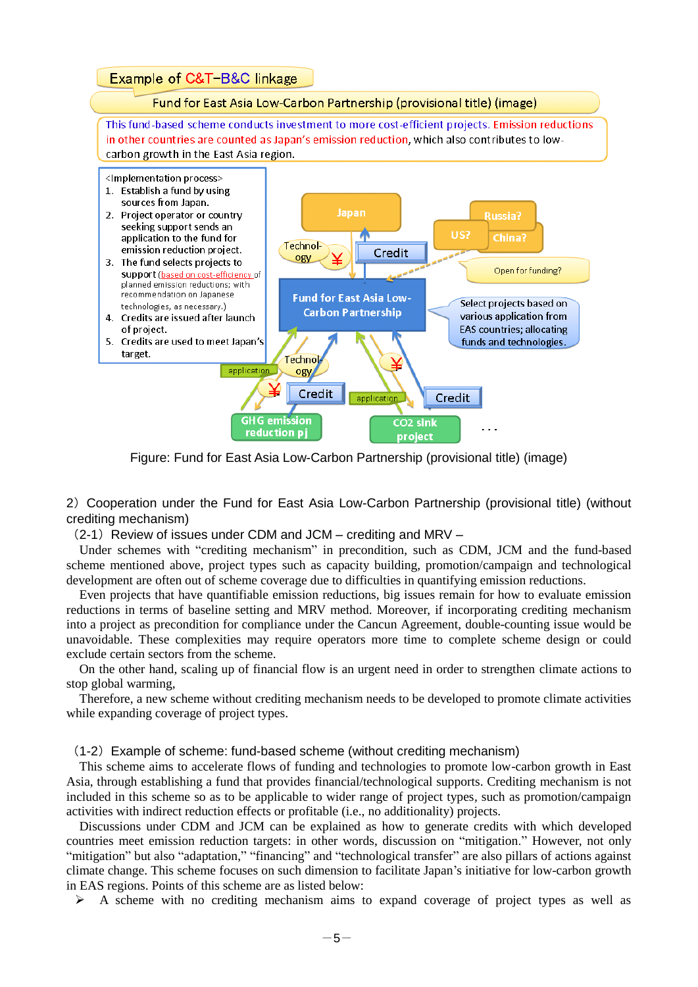

Figure: Fund for East Asia Low-Carbon Partnership (provisional title) (image)

2)Cooperation under the Fund for East Asia Low-Carbon Partnership (provisional title) (without crediting mechanism)

(2-1)Review of issues under CDM and JCM – crediting and MRV –

Under schemes with "crediting mechanism" in precondition, such as CDM, JCM and the fund-based scheme mentioned above, project types such as capacity building, promotion/campaign and technological development are often out of scheme coverage due to difficulties in quantifying emission reductions.

Even projects that have quantifiable emission reductions, big issues remain for how to evaluate emission reductions in terms of baseline setting and MRV method. Moreover, if incorporating crediting mechanism into a project as precondition for compliance under the Cancun Agreement, double-counting issue would be unavoidable. These complexities may require operators more time to complete scheme design or could exclude certain sectors from the scheme.

On the other hand, scaling up of financial flow is an urgent need in order to strengthen climate actions to stop global warming,

Therefore, a new scheme without crediting mechanism needs to be developed to promote climate activities while expanding coverage of project types.

#### (1-2)Example of scheme: fund-based scheme (without crediting mechanism)

This scheme aims to accelerate flows of funding and technologies to promote low-carbon growth in East Asia, through establishing a fund that provides financial/technological supports. Crediting mechanism is not included in this scheme so as to be applicable to wider range of project types, such as promotion/campaign activities with indirect reduction effects or profitable (i.e., no additionality) projects.

Discussions under CDM and JCM can be explained as how to generate credits with which developed countries meet emission reduction targets: in other words, discussion on "mitigation." However, not only "mitigation" but also "adaptation," "financing" and "technological transfer" are also pillars of actions against climate change. This scheme focuses on such dimension to facilitate Japan's initiative for low-carbon growth in EAS regions. Points of this scheme are as listed below:

 $\triangleright$  A scheme with no crediting mechanism aims to expand coverage of project types as well as